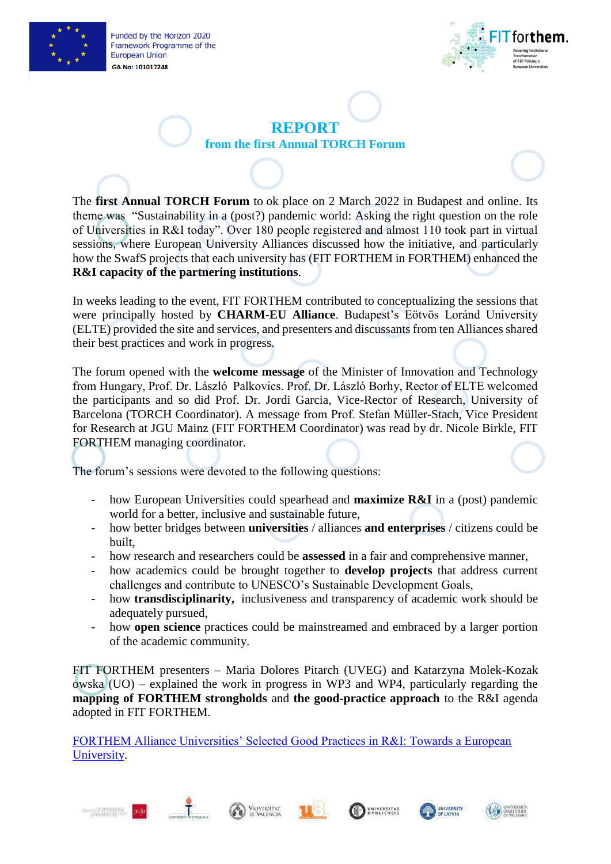

Funded by the Horizon 2020 Framework Programme of the **European Union** GA No: 101017248



**REPORT from the first Annual TORCH Forum**

The **first Annual TORCH Forum** to ok place on 2 March 2022 in Budapest and online. Its theme was "Sustainability in a (post?) pandemic world: Asking the right question on the role of Universities in R&I today". Over 180 people registered and almost 110 took part in virtual sessions, where European University Alliances discussed how the initiative, and particularly how the SwafS projects that each university has (FIT FORTHEM in FORTHEM) enhanced the **R&I capacity of the partnering institutions**.

In weeks leading to the event, FIT FORTHEM contributed to conceptualizing the sessions that were principally hosted by **CHARM-EU Alliance**. Budapest's Eötvös Loránd University (ELTE) provided the site and services, and presenters and discussants from ten Alliances shared their best practices and work in progress.

The forum opened with the **welcome message** of the Minister of Innovation and Technology from Hungary, Prof. Dr. László Palkovics. Prof. Dr. László Borhy, Rector of ELTE welcomed the participants and so did Prof. Dr. Jordi Garcia, Vice-Rector of Research, University of Barcelona (TORCH Coordinator). A message from Prof. Stefan Müller-Stach, Vice President for Research at JGU Mainz (FIT FORTHEM Coordinator) was read by dr. Nicole Birkle, FIT FORTHEM managing coordinator.

The forum's sessions were devoted to the following questions:

- how European Universities could spearhead and **maximize R&I** in a (post) pandemic world for a better, inclusive and sustainable future,
- how better bridges between **universities** / alliances **and enterprises** / citizens could be built,
- how research and researchers could be **assessed** in a fair and comprehensive manner,
- how academics could be brought together to **develop projects** that address current challenges and contribute to UNESCO's Sustainable Development Goals,
- how **transdisciplinarity,** inclusiveness and transparency of academic work should be adequately pursued,
- how **open science** practices could be mainstreamed and embraced by a larger portion of the academic community.

FIT FORTHEM presenters – Maria Dolores Pitarch (UVEG) and Katarzyna Molek-Kozak owska (UO) – explained the work in progress in WP3 and WP4, particularly regarding the **mapping of FORTHEM strongholds** and **the good-practice approach** to the R&I agenda adopted in FIT FORTHEM.

[FORTHEM Alliance Universities' Selected Good Practices in R&I: Towards a European](https://www.forthem-alliance.eu/fileadmin/user_upload/forthem/FIT_FORTHEM/Results/Reports_and_publications/WEB_low_FIT-FORTHEM.pdf)  [University.](https://www.forthem-alliance.eu/fileadmin/user_upload/forthem/FIT_FORTHEM/Results/Reports_and_publications/WEB_low_FIT-FORTHEM.pdf)











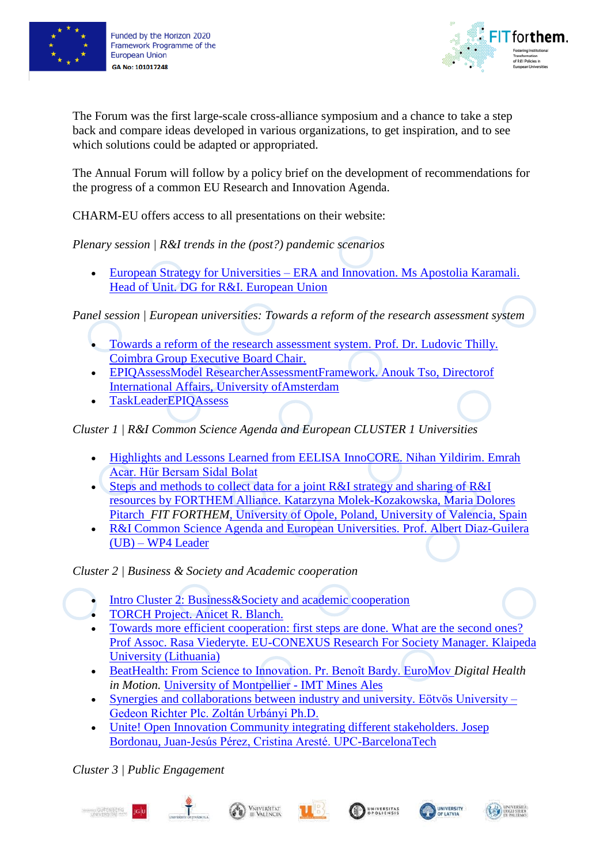



The Forum was the first large-scale cross-alliance symposium and a chance to take a step back and compare ideas developed in various organizations, to get inspiration, and to see which solutions could be adapted or appropriated.

The Annual Forum will follow by a policy brief on the development of recommendations for the progress of a common EU Research and Innovation Agenda.

CHARM-EU offers access to all presentations on their website:

*Plenary session | R&I trends in the (post?) pandemic scenarios*

• European Strategy for Universities – [ERA and Innovation. Ms Apostolia Karamali.](https://www.charm-eu.eu/sites/default/files/2022-03/European%20Strategy%20for%20Universities%20%E2%80%93%20ERA%20and%20Innovation.%20Karamali.pdf)  Head of Unit. DG [for R&I. European Union](https://www.charm-eu.eu/sites/default/files/2022-03/European%20Strategy%20for%20Universities%20%E2%80%93%20ERA%20and%20Innovation.%20Karamali.pdf)

*Panel session | European universities: Towards a reform of the research assessment system*

- [Towards a reform of the research assessment system. Prof. Dr. Ludovic Thilly.](https://www.charm-eu.eu/sites/default/files/2022-03/TORCH%20Annual%20Forum%20-%20session%20on%20reform%20research%20assessment%20-%20CoimbraGroup%20LThilly.pdf)  [Coimbra Group Executive Board Chair.](https://www.charm-eu.eu/sites/default/files/2022-03/TORCH%20Annual%20Forum%20-%20session%20on%20reform%20research%20assessment%20-%20CoimbraGroup%20LThilly.pdf)
- [EPIQAssessModel ResearcherAssessmentFramework. Anouk Tso, Directorof](https://www.charm-eu.eu/sites/default/files/2022-03/220302-EPICUR-ResearcherAssessment-TORCH-Forum.pdf)  [International Affairs, University ofAmsterdam](https://www.charm-eu.eu/sites/default/files/2022-03/220302-EPICUR-ResearcherAssessment-TORCH-Forum.pdf)
- [TaskLeaderEPIQAssess](https://www.charm-eu.eu/sites/default/files/2022-03/220302-EPICUR-ResearcherAssessment-TORCH-Forum.pdf)

*Cluster 1 | R&I Common Science Agenda and European CLUSTER 1 Universities*

- Highlights and Lessons Learned from EELISA InnoCORE. Nihan Yildirim. Emrah [Acar. Hür Bersam Sidal Bolat](https://www.charm-eu.eu/sites/default/files/2022-03/EELISA_innoCORE_Torch%20Forum-Short%20Version-Rev%204%20UPMinc.pdf)
- [Steps and methods to collect data for a joint R&I strategy and sharing of R&I](https://www.charm-eu.eu/sites/default/files/2022-03/FIT%20FORTHEM%20for%20TORCH.pdf)  resources by FORTHEM Alliance. [Katarzyna Molek-Kozakowska, Maria Dolores](https://www.charm-eu.eu/sites/default/files/2022-03/FIT%20FORTHEM%20for%20TORCH.pdf)  Pitarch *FIT FORTHEM*[, University of Opole, Poland, University of Valencia, Spain](https://www.charm-eu.eu/sites/default/files/2022-03/FIT%20FORTHEM%20for%20TORCH.pdf)
- [R&I Common Science Agenda and European Universities.](https://www.charm-eu.eu/sites/default/files/2022-03/R%26I%20Common%20Science%20Agenda%20TORCH%20Forum%2002_03_2022.pdf) Prof. Albert Diaz-Guilera (UB) – [WP4 Leader](https://www.charm-eu.eu/sites/default/files/2022-03/R%26I%20Common%20Science%20Agenda%20TORCH%20Forum%2002_03_2022.pdf)

*Cluster 2 | Business & Society and Academic cooperation* 

- [Intro Cluster 2: Business&Society and academic cooperation](https://www.charm-eu.eu/sites/default/files/2022-03/Powerpoint%20Cluster%202%20%281%29%20%281%29.pdf)
- [TORCH Project. Anicet R. Blanch.](https://www.charm-eu.eu/sites/default/files/2022-03/Presentation%20PPT_TORCH_Anicet%20Blanch%20UB.pdf)
- [Towards more efficient cooperation: first steps are done. What are the second ones?](https://www.charm-eu.eu/sites/default/files/2022-03/R.Viederyte%20presentation%202022.03.02.pdf)  [Prof Assoc. Rasa Viederyte. EU-CONEXUS Research For Society Manager. Klaipeda](https://www.charm-eu.eu/sites/default/files/2022-03/R.Viederyte%20presentation%202022.03.02.pdf)  [University \(Lithuania\)](https://www.charm-eu.eu/sites/default/files/2022-03/R.Viederyte%20presentation%202022.03.02.pdf)
- [BeatHealth: From Science to Innovation. Pr. Benoît Bardy. EuroMov](https://www.charm-eu.eu/sites/default/files/2022-03/TORCH_Bardy_2022.pdf) *Digital Health in Motion.* [University of Montpellier -](https://www.charm-eu.eu/sites/default/files/2022-03/TORCH_Bardy_2022.pdf) IMT Mines Ales
- [Synergies and collaborations between industry and university. Eötvös University –](https://www.charm-eu.eu/sites/default/files/2022-03/ELTE20220302.pdf) [Gedeon Richter Plc. Zoltán Urbányi Ph.D.](https://www.charm-eu.eu/sites/default/files/2022-03/ELTE20220302.pdf)
- Unite! Open Innovation Community integrating different stakeholders. Josep [Bordonau, Juan-Jesús Pérez, Cristina Aresté. UPC-BarcelonaTech](https://www.charm-eu.eu/sites/default/files/2022-03/Unite%21%20Presentation%20in%20TORCH%20Annual%20Open%20Forum.pdf)

*Cluster 3 | Public Engagement*